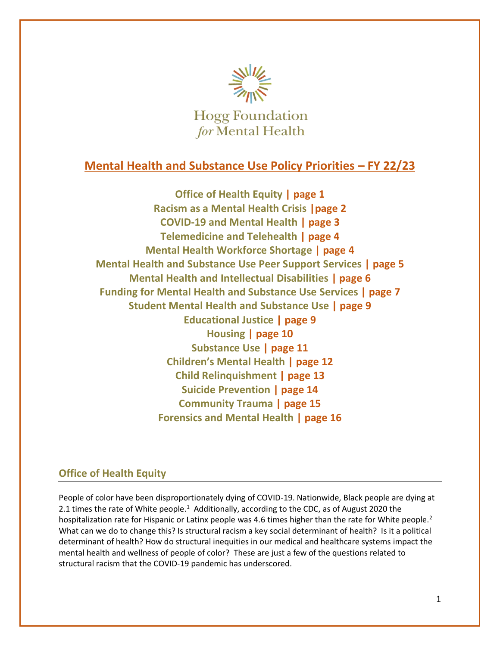

# **Mental Health and Substance Use Policy Priorities – FY 22/23**

**Office of Health Equity | page 1 Racism as a Mental Health Crisis |page 2 COVID-19 and Mental Health | page 3 Telemedicine and Telehealth | page 4 Mental Health Workforce Shortage | page 4 Mental Health and Substance Use Peer Support Services | page 5 Mental Health and Intellectual Disabilities | page 6 Funding for Mental Health and Substance Use Services | page 7 Student Mental Health and Substance Use | page 9 Educational Justice | page 9 Housing | page 10 Substance Use | page 11 Children's Mental Health | page 12 Child Relinquishment | page 13 Suicide Prevention | page 14 Community Trauma | page 15 Forensics and Mental Health | page 16**

## **Office of Health Equity**

People of color have been disproportionately dying of COVID-19. Nationwide, Black people are dying at 2.1 times the rate of White people.<sup>1</sup> Additionally, according to the CDC, as of August 2020 the hospitalization rate for Hispanic or Latinx people was 4.6 times higher than the rate for White people.<sup>2</sup> What can we do to change this? Is structural racism a key social determinant of health? Is it a political determinant of health? How do structural inequities in our medical and healthcare systems impact the mental health and wellness of people of color? These are just a few of the questions related to structural racism that the COVID-19 pandemic has underscored.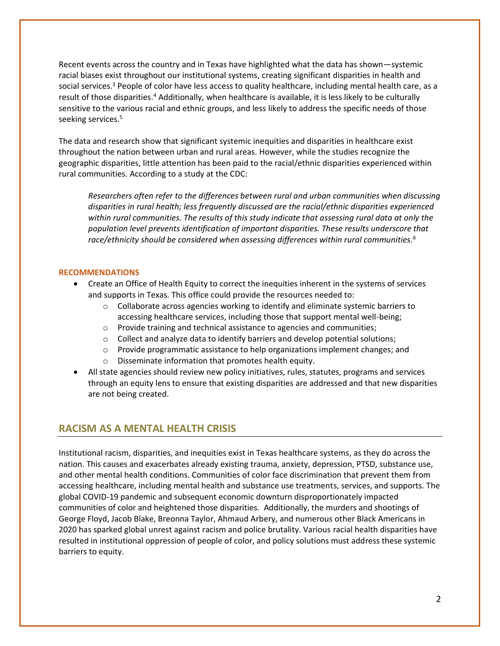Recent events across the country and in Texas have highlighted what the data has shown—systemic racial biases exist throughout our institutional systems, creating significant disparities in health and social services.<sup>3</sup> People of color have less access to quality healthcare, including mental health care, as a result of those disparities.<sup>4</sup> Additionally, when healthcare is available, it is less likely to be culturally sensitive to the various racial and ethnic groups, and less likely to address the specific needs of those seeking services. 5

The data and research show that significant systemic inequities and disparities in healthcare exist throughout the nation between urban and rural areas. However, while the studies recognize the geographic disparities, little attention has been paid to the racial/ethnic disparities experienced within rural communities. According to a study at the CDC:

*Researchers often refer to the differences between rural and urban communities when discussing disparities in rural health; less frequently discussed are the racial/ethnic disparities experienced within rural communities. The results of this study indicate that assessing rural data at only the population level prevents identification of important disparities. These results underscore that race/ethnicity should be considered when assessing differences within rural communities.<sup>6</sup>*

### **RECOMMENDATIONS**

- Create an Office of Health Equity to correct the inequities inherent in the systems of services and supports in Texas. This office could provide the resources needed to:
	- $\circ$  Collaborate across agencies working to identify and eliminate systemic barriers to accessing healthcare services, including those that support mental well-being;
	- o Provide training and technical assistance to agencies and communities;
	- $\circ$  Collect and analyze data to identify barriers and develop potential solutions;
	- $\circ$  Provide programmatic assistance to help organizations implement changes; and
	- o Disseminate information that promotes health equity.
- All state agencies should review new policy initiatives, rules, statutes, programs and services through an equity lens to ensure that existing disparities are addressed and that new disparities are not being created.

### **RACISM AS A MENTAL HEALTH CRISIS**

Institutional racism, disparities, and inequities exist in Texas healthcare systems, as they do across the nation. This causes and exacerbates already existing trauma, anxiety, depression, PTSD, substance use, and other mental health conditions. Communities of color face discrimination that prevent them from accessing healthcare, including mental health and substance use treatments, services, and supports. The global COVID-19 pandemic and subsequent economic downturn disproportionately impacted communities of color and heightened those disparities. Additionally, the murders and shootings of George Floyd, Jacob Blake, Breonna Taylor, Ahmaud Arbery, and numerous other Black Americans in 2020 has sparked global unrest against racism and police brutality. Various racial health disparities have resulted in institutional oppression of people of color, and policy solutions must address these systemic barriers to equity.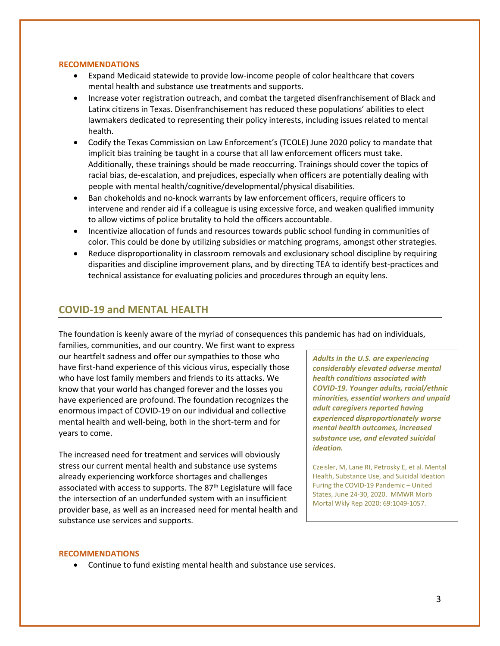#### **RECOMMENDATIONS**

- Expand Medicaid statewide to provide low-income people of color healthcare that covers mental health and substance use treatments and supports.
- Increase voter registration outreach, and combat the targeted disenfranchisement of Black and Latinx citizens in Texas. Disenfranchisement has reduced these populations' abilities to elect lawmakers dedicated to representing their policy interests, including issues related to mental health.
- Codify the Texas Commission on Law Enforcement's (TCOLE) June 2020 policy to mandate that implicit bias training be taught in a course that all law enforcement officers must take. Additionally, these trainings should be made reoccurring. Trainings should cover the topics of racial bias, de-escalation, and prejudices, especially when officers are potentially dealing with people with mental health/cognitive/developmental/physical disabilities.
- Ban chokeholds and no-knock warrants by law enforcement officers, require officers to intervene and render aid if a colleague is using excessive force, and weaken qualified immunity to allow victims of police brutality to hold the officers accountable.
- Incentivize allocation of funds and resources towards public school funding in communities of color. This could be done by utilizing subsidies or matching programs, amongst other strategies.
- Reduce disproportionality in classroom removals and exclusionary school discipline by requiring disparities and discipline improvement plans, and by directing TEA to identify best-practices and technical assistance for evaluating policies and procedures through an equity lens.

## **COVID-19 and MENTAL HEALTH**

The foundation is keenly aware of the myriad of consequences this pandemic has had on individuals,

families, communities, and our country. We first want to express our heartfelt sadness and offer our sympathies to those who have first-hand experience of this vicious virus, especially those who have lost family members and friends to its attacks. We know that your world has changed forever and the losses you have experienced are profound. The foundation recognizes the enormous impact of COVID-19 on our individual and collective mental health and well-being, both in the short-term and for years to come.

The increased need for treatment and services will obviously stress our current mental health and substance use systems already experiencing workforce shortages and challenges associated with access to supports. The 87<sup>th</sup> Legislature will face the intersection of an underfunded system with an insufficient provider base, as well as an increased need for mental health and substance use services and supports.

*Adults in the U.S. are experiencing considerably elevated adverse mental health conditions associated with COVID-19. Younger adults, racial/ethnic minorities, essential workers and unpaid adult caregivers reported having experienced disproportionately worse mental health outcomes, increased substance use, and elevated suicidal ideation.*

Czeisler, M, Lane RI, Petrosky E, et al. Mental Health, Substance Use, and Suicidal Ideation Furing the COVID-19 Pandemic – United States, June 24-30, 2020. MMWR Morb Mortal Wkly Rep 2020; 69:1049-1057.

#### **RECOMMENDATIONS**

• Continue to fund existing mental health and substance use services.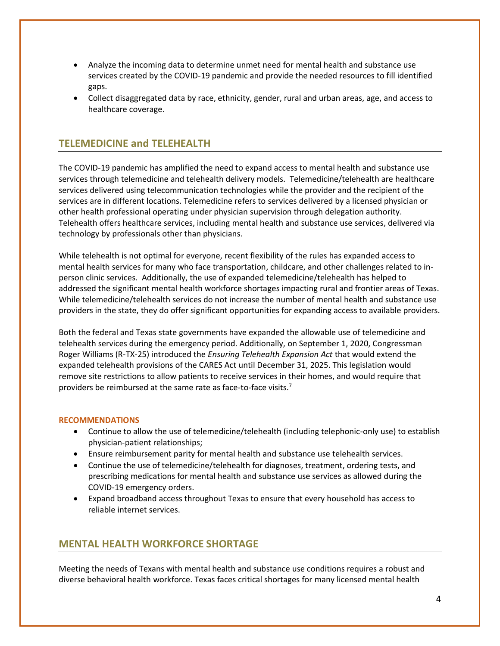- Analyze the incoming data to determine unmet need for mental health and substance use services created by the COVID-19 pandemic and provide the needed resources to fill identified gaps.
- Collect disaggregated data by race, ethnicity, gender, rural and urban areas, age, and access to healthcare coverage.

## **TELEMEDICINE and TELEHEALTH**

The COVID-19 pandemic has amplified the need to expand access to mental health and substance use services through telemedicine and telehealth delivery models. Telemedicine/telehealth are healthcare services delivered using telecommunication technologies while the provider and the recipient of the services are in different locations. Telemedicine refers to services delivered by a licensed physician or other health professional operating under physician supervision through delegation authority. Telehealth offers healthcare services, including mental health and substance use services, delivered via technology by professionals other than physicians.

While telehealth is not optimal for everyone, recent flexibility of the rules has expanded access to mental health services for many who face transportation, childcare, and other challenges related to inperson clinic services. Additionally, the use of expanded telemedicine/telehealth has helped to addressed the significant mental health workforce shortages impacting rural and frontier areas of Texas. While telemedicine/telehealth services do not increase the number of mental health and substance use providers in the state, they do offer significant opportunities for expanding access to available providers.

Both the federal and Texas state governments have expanded the allowable use of telemedicine and telehealth services during the emergency period. Additionally, on September 1, 2020, Congressman Roger Williams (R-TX-25) introduced the *Ensuring Telehealth Expansion Act* that would extend the expanded telehealth provisions of the CARES Act until December 31, 2025. This legislation would remove site restrictions to allow patients to receive services in their homes, and would require that providers be reimbursed at the same rate as face-to-face visits.<sup>7</sup>

#### **RECOMMENDATIONS**

- Continue to allow the use of telemedicine/telehealth (including telephonic-only use) to establish physician-patient relationships;
- Ensure reimbursement parity for mental health and substance use telehealth services.
- Continue the use of telemedicine/telehealth for diagnoses, treatment, ordering tests, and prescribing medications for mental health and substance use services as allowed during the COVID-19 emergency orders.
- Expand broadband access throughout Texas to ensure that every household has access to reliable internet services.

## **MENTAL HEALTH WORKFORCE SHORTAGE**

Meeting the needs of Texans with mental health and substance use conditions requires a robust and diverse behavioral health workforce. Texas faces critical shortages for many licensed mental health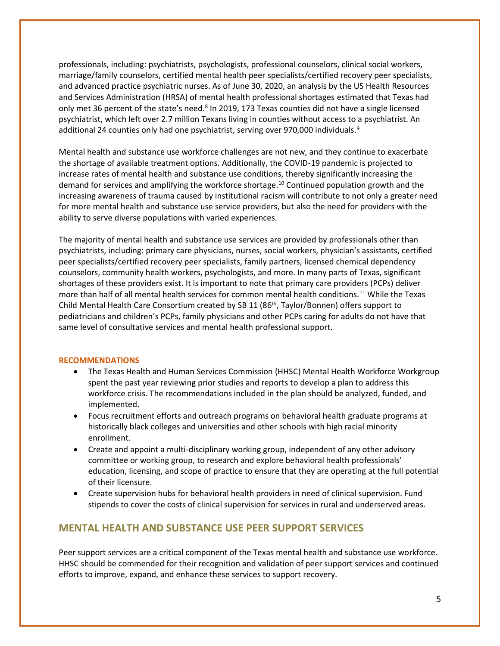professionals, including: psychiatrists, psychologists, professional counselors, clinical social workers, marriage/family counselors, certified mental health peer specialists/certified recovery peer specialists, and advanced practice psychiatric nurses. As of June 30, 2020, an analysis by the US Health Resources and Services Administration (HRSA) of mental health professional shortages estimated that Texas had only met 36 percent of the state's need.<sup>8</sup> In 2019, 173 Texas counties did not have a single licensed psychiatrist, which left over 2.7 million Texans living in counties without access to a psychiatrist. An additional 24 counties only had one psychiatrist, serving over 970,000 individuals.<sup>9</sup>

Mental health and substance use workforce challenges are not new, and they continue to exacerbate the shortage of available treatment options. Additionally, the COVID-19 pandemic is projected to increase rates of mental health and substance use conditions, thereby significantly increasing the demand for services and amplifying the workforce shortage.<sup>10</sup> Continued population growth and the increasing awareness of trauma caused by institutional racism will contribute to not only a greater need for more mental health and substance use service providers, but also the need for providers with the ability to serve diverse populations with varied experiences.

The majority of mental health and substance use services are provided by professionals other than psychiatrists, including: primary care physicians, nurses, social workers, physician's assistants, certified peer specialists/certified recovery peer specialists, family partners, licensed chemical dependency counselors, community health workers, psychologists, and more. In many parts of Texas, significant shortages of these providers exist. It is important to note that primary care providers (PCPs) deliver more than half of all mental health services for common mental health conditions.<sup>11</sup> While the Texas Child Mental Health Care Consortium created by SB 11 (86<sup>th</sup>, Taylor/Bonnen) offers support to pediatricians and children's PCPs, family physicians and other PCPs caring for adults do not have that same level of consultative services and mental health professional support.

### **RECOMMENDATIONS**

- The Texas Health and Human Services Commission (HHSC) Mental Health Workforce Workgroup spent the past year reviewing prior studies and reports to develop a plan to address this workforce crisis. The recommendations included in the plan should be analyzed, funded, and implemented.
- Focus recruitment efforts and outreach programs on behavioral health graduate programs at historically black colleges and universities and other schools with high racial minority enrollment.
- Create and appoint a multi-disciplinary working group, independent of any other advisory committee or working group, to research and explore behavioral health professionals' education, licensing, and scope of practice to ensure that they are operating at the full potential of their licensure.
- Create supervision hubs for behavioral health providers in need of clinical supervision. Fund stipends to cover the costs of clinical supervision for services in rural and underserved areas.

## **MENTAL HEALTH AND SUBSTANCE USE PEER SUPPORT SERVICES**

Peer support services are a critical component of the Texas mental health and substance use workforce. HHSC should be commended for their recognition and validation of peer support services and continued efforts to improve, expand, and enhance these services to support recovery.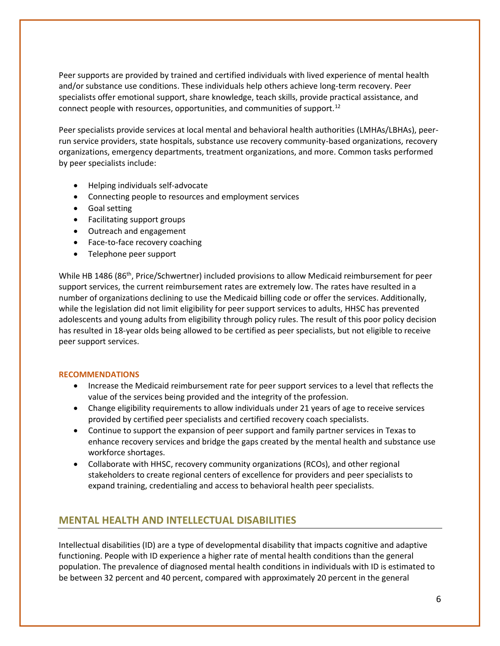Peer supports are provided by trained and certified individuals with lived experience of mental health and/or substance use conditions. These individuals help others achieve long-term recovery. Peer specialists offer emotional support, share knowledge, teach skills, provide practical assistance, and connect people with resources, opportunities, and communities of support.<sup>12</sup>

Peer specialists provide services at local mental and behavioral health authorities (LMHAs/LBHAs), peerrun service providers, state hospitals, substance use recovery community-based organizations, recovery organizations, emergency departments, treatment organizations, and more. Common tasks performed by peer specialists include:

- Helping individuals self-advocate
- Connecting people to resources and employment services
- Goal setting
- Facilitating support groups
- Outreach and engagement
- Face-to-face recovery coaching
- Telephone peer support

While HB 1486 (86<sup>th</sup>, Price/Schwertner) included provisions to allow Medicaid reimbursement for peer support services, the current reimbursement rates are extremely low. The rates have resulted in a number of organizations declining to use the Medicaid billing code or offer the services. Additionally, while the legislation did not limit eligibility for peer support services to adults, HHSC has prevented adolescents and young adults from eligibility through policy rules. The result of this poor policy decision has resulted in 18-year olds being allowed to be certified as peer specialists, but not eligible to receive peer support services.

#### **RECOMMENDATIONS**

- Increase the Medicaid reimbursement rate for peer support services to a level that reflects the value of the services being provided and the integrity of the profession.
- Change eligibility requirements to allow individuals under 21 years of age to receive services provided by certified peer specialists and certified recovery coach specialists.
- Continue to support the expansion of peer support and family partner services in Texas to enhance recovery services and bridge the gaps created by the mental health and substance use workforce shortages.
- Collaborate with HHSC, recovery community organizations (RCOs), and other regional stakeholders to create regional centers of excellence for providers and peer specialists to expand training, credentialing and access to behavioral health peer specialists.

### **MENTAL HEALTH AND INTELLECTUAL DISABILITIES**

Intellectual disabilities (ID) are a type of developmental disability that impacts cognitive and adaptive functioning. People with ID experience a higher rate of mental health conditions than the general population. The prevalence of diagnosed mental health conditions in individuals with ID is estimated to be between 32 percent and 40 percent, compared with approximately 20 percent in the general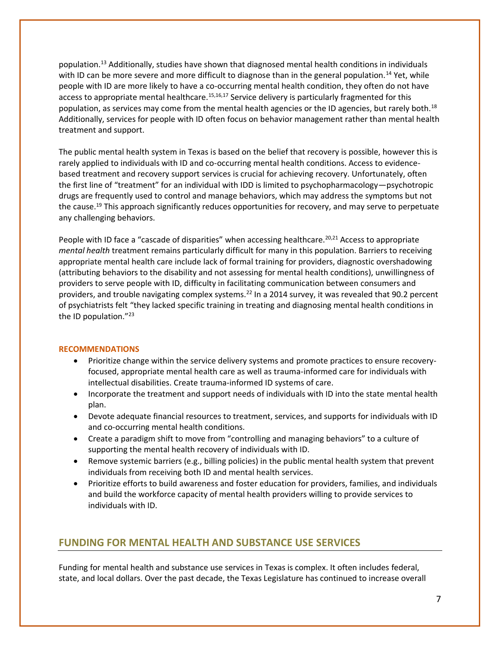population.<sup>13</sup> Additionally, studies have shown that diagnosed mental health conditions in individuals with ID can be more severe and more difficult to diagnose than in the general population.<sup>14</sup> Yet, while people with ID are more likely to have a co-occurring mental health condition, they often do not have access to appropriate mental healthcare.<sup>15,16,17</sup> Service delivery is particularly fragmented for this population, as services may come from the mental health agencies or the ID agencies, but rarely both.<sup>18</sup> Additionally, services for people with ID often focus on behavior management rather than mental health treatment and support.

The public mental health system in Texas is based on the belief that recovery is possible, however this is rarely applied to individuals with ID and co-occurring mental health conditions. Access to evidencebased treatment and recovery support services is crucial for achieving recovery. Unfortunately, often the first line of "treatment" for an individual with IDD is limited to psychopharmacology—psychotropic drugs are frequently used to control and manage behaviors, which may address the symptoms but not the cause. <sup>19</sup> This approach significantly reduces opportunities for recovery, and may serve to perpetuate any challenging behaviors.

People with ID face a "cascade of disparities" when accessing healthcare.<sup>20,21</sup> Access to appropriate *mental health* treatment remains particularly difficult for many in this population. Barriers to receiving appropriate mental health care include lack of formal training for providers, diagnostic overshadowing (attributing behaviors to the disability and not assessing for mental health conditions), unwillingness of providers to serve people with ID, difficulty in facilitating communication between consumers and providers, and trouble navigating complex systems.<sup>22</sup> In a 2014 survey, it was revealed that 90.2 percent of psychiatrists felt "they lacked specific training in treating and diagnosing mental health conditions in the ID population."<sup>23</sup>

#### **RECOMMENDATIONS**

- Prioritize change within the service delivery systems and promote practices to ensure recoveryfocused, appropriate mental health care as well as trauma-informed care for individuals with intellectual disabilities. Create trauma-informed ID systems of care.
- Incorporate the treatment and support needs of individuals with ID into the state mental health plan.
- Devote adequate financial resources to treatment, services, and supports for individuals with ID and co-occurring mental health conditions.
- Create a paradigm shift to move from "controlling and managing behaviors" to a culture of supporting the mental health recovery of individuals with ID.
- Remove systemic barriers (e.g., billing policies) in the public mental health system that prevent individuals from receiving both ID and mental health services.
- Prioritize efforts to build awareness and foster education for providers, families, and individuals and build the workforce capacity of mental health providers willing to provide services to individuals with ID.

## **FUNDING FOR MENTAL HEALTH AND SUBSTANCE USE SERVICES**

Funding for mental health and substance use services in Texas is complex. It often includes federal, state, and local dollars. Over the past decade, the Texas Legislature has continued to increase overall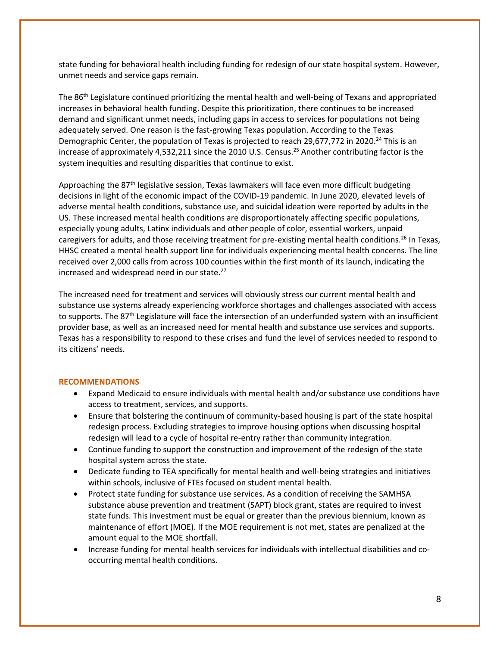state funding for behavioral health including funding for redesign of our state hospital system. However, unmet needs and service gaps remain.

The 86th Legislature continued prioritizing the mental health and well-being of Texans and appropriated increases in behavioral health funding. Despite this prioritization, there continues to be increased demand and significant unmet needs, including gaps in access to services for populations not being adequately served. One reason is the fast-growing Texas population. According to the Texas Demographic Center, the population of Texas is projected to reach 29,677,772 in 2020.<sup>24</sup> This is an increase of approximately 4,532,211 since the 2010 U.S. Census.<sup>25</sup> Another contributing factor is the system inequities and resulting disparities that continue to exist.

Approaching the 87<sup>th</sup> legislative session, Texas lawmakers will face even more difficult budgeting decisions in light of the economic impact of the COVID-19 pandemic. In June 2020, elevated levels of adverse mental health conditions, substance use, and suicidal ideation were reported by adults in the US. These increased mental health conditions are disproportionately affecting specific populations, especially young adults, Latinx individuals and other people of color, essential workers, unpaid caregivers for adults, and those receiving treatment for pre-existing mental health conditions.<sup>26</sup> In Texas, HHSC created a mental health support line for individuals experiencing mental health concerns. The line received over 2,000 calls from across 100 counties within the first month of its launch, indicating the increased and widespread need in our state.<sup>27</sup>

The increased need for treatment and services will obviously stress our current mental health and substance use systems already experiencing workforce shortages and challenges associated with access to supports. The  $87<sup>th</sup>$  Legislature will face the intersection of an underfunded system with an insufficient provider base, as well as an increased need for mental health and substance use services and supports. Texas has a responsibility to respond to these crises and fund the level of services needed to respond to its citizens' needs.

- Expand Medicaid to ensure individuals with mental health and/or substance use conditions have access to treatment, services, and supports.
- Ensure that bolstering the continuum of community-based housing is part of the state hospital redesign process. Excluding strategies to improve housing options when discussing hospital redesign will lead to a cycle of hospital re-entry rather than community integration.
- Continue funding to support the construction and improvement of the redesign of the state hospital system across the state.
- Dedicate funding to TEA specifically for mental health and well-being strategies and initiatives within schools, inclusive of FTEs focused on student mental health.
- Protect state funding for substance use services. As a condition of receiving the SAMHSA substance abuse prevention and treatment (SAPT) block grant, states are required to invest state funds. This investment must be equal or greater than the previous biennium, known as maintenance of effort (MOE). If the MOE requirement is not met, states are penalized at the amount equal to the MOE shortfall.
- Increase funding for mental health services for individuals with intellectual disabilities and cooccurring mental health conditions.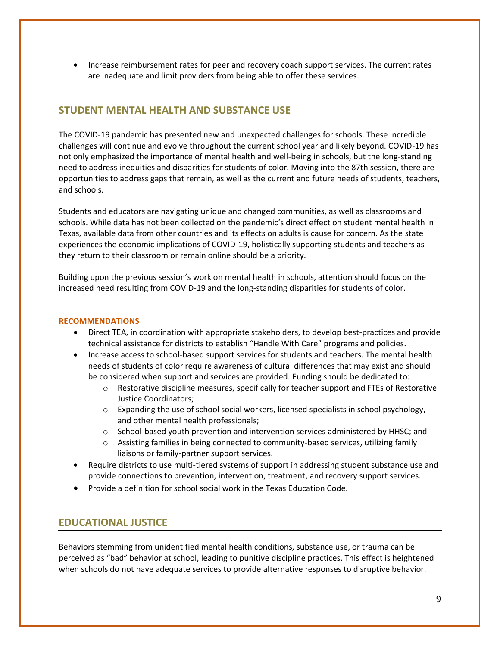• Increase reimbursement rates for peer and recovery coach support services. The current rates are inadequate and limit providers from being able to offer these services.

## **STUDENT MENTAL HEALTH AND SUBSTANCE USE**

The COVID-19 pandemic has presented new and unexpected challenges for schools. These incredible challenges will continue and evolve throughout the current school year and likely beyond. COVID-19 has not only emphasized the importance of mental health and well-being in schools, but the long-standing need to address inequities and disparities for students of color. Moving into the 87th session, there are opportunities to address gaps that remain, as well as the current and future needs of students, teachers, and schools.

Students and educators are navigating unique and changed communities, as well as classrooms and schools. While data has not been collected on the pandemic's direct effect on student mental health in Texas, available data from other countries and its effects on adults is cause for concern. As the state experiences the economic implications of COVID-19, holistically supporting students and teachers as they return to their classroom or remain online should be a priority.

Building upon the previous session's work on mental health in schools, attention should focus on the increased need resulting from COVID-19 and the long-standing disparities for students of color.

#### **RECOMMENDATIONS**

- Direct TEA, in coordination with appropriate stakeholders, to develop best-practices and provide technical assistance for districts to establish "Handle With Care" programs and policies.
- Increase access to school-based support services for students and teachers. The mental health needs of students of color require awareness of cultural differences that may exist and should be considered when support and services are provided. Funding should be dedicated to:
	- o Restorative discipline measures, specifically for teacher support and FTEs of Restorative Justice Coordinators;
	- $\circ$  Expanding the use of school social workers, licensed specialists in school psychology, and other mental health professionals;
	- $\circ$  School-based youth prevention and intervention services administered by HHSC; and
	- $\circ$  Assisting families in being connected to community-based services, utilizing family liaisons or family-partner support services.
- Require districts to use multi-tiered systems of support in addressing student substance use and provide connections to prevention, intervention, treatment, and recovery support services.
- Provide a definition for school social work in the Texas Education Code.

## **EDUCATIONAL JUSTICE**

Behaviors stemming from unidentified mental health conditions, substance use, or trauma can be perceived as "bad" behavior at school, leading to punitive discipline practices. This effect is heightened when schools do not have adequate services to provide alternative responses to disruptive behavior.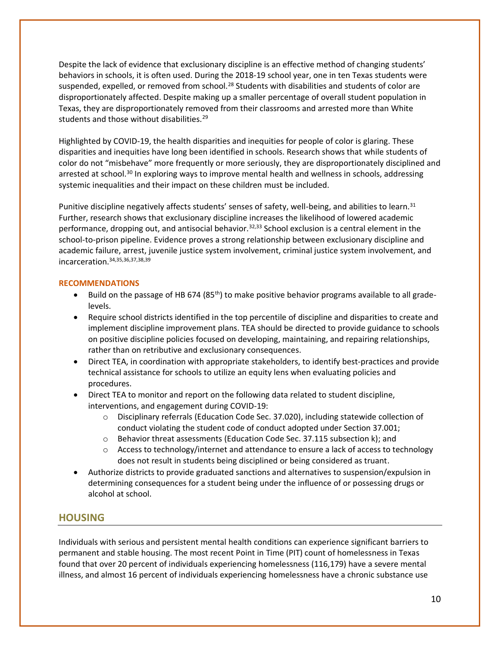Despite the lack of evidence that exclusionary discipline is an effective method of changing students' behaviors in schools, it is often used. During the 2018-19 school year, one in ten Texas students were suspended, expelled, or removed from school.<sup>28</sup> Students with disabilities and students of color are disproportionately affected. Despite making up a smaller percentage of overall student population in Texas, they are disproportionately removed from their classrooms and arrested more than White students and those without disabilities.<sup>29</sup>

Highlighted by COVID-19, the health disparities and inequities for people of color is glaring. These disparities and inequities have long been identified in schools. Research shows that while students of color do not "misbehave" more frequently or more seriously, they are disproportionately disciplined and arrested at school.<sup>30</sup> In exploring ways to improve mental health and wellness in schools, addressing systemic inequalities and their impact on these children must be included.

Punitive discipline negatively affects students' senses of safety, well-being, and abilities to learn.<sup>31</sup> Further, research shows that exclusionary discipline increases the likelihood of lowered academic performance, dropping out, and antisocial behavior.<sup>32,33</sup> School exclusion is a central element in the school-to-prison pipeline. Evidence proves a strong relationship between exclusionary discipline and academic failure, arrest, juvenile justice system involvement, criminal justice system involvement, and incarceration.34,35,36,37,38,39

### **RECOMMENDATIONS**

- Build on the passage of HB 674 (85<sup>th</sup>) to make positive behavior programs available to all gradelevels.
- Require school districts identified in the top percentile of discipline and disparities to create and implement discipline improvement plans. TEA should be directed to provide guidance to schools on positive discipline policies focused on developing, maintaining, and repairing relationships, rather than on retributive and exclusionary consequences.
- Direct TEA, in coordination with appropriate stakeholders, to identify best-practices and provide technical assistance for schools to utilize an equity lens when evaluating policies and procedures.
- Direct TEA to monitor and report on the following data related to student discipline, interventions, and engagement during COVID-19:
	- o Disciplinary referrals (Education Code Sec. 37.020), including statewide collection of conduct violating the student code of conduct adopted under Section 37.001;
	- o Behavior threat assessments (Education Code Sec. 37.115 subsection k); and
	- $\circ$  Access to technology/internet and attendance to ensure a lack of access to technology does not result in students being disciplined or being considered as truant.
- Authorize districts to provide graduated sanctions and alternatives to suspension/expulsion in determining consequences for a student being under the influence of or possessing drugs or alcohol at school.

### **HOUSING**

Individuals with serious and persistent mental health conditions can experience significant barriers to permanent and stable housing. The most recent Point in Time (PIT) count of homelessness in Texas found that over 20 percent of individuals experiencing homelessness (116,179) have a severe mental illness, and almost 16 percent of individuals experiencing homelessness have a chronic substance use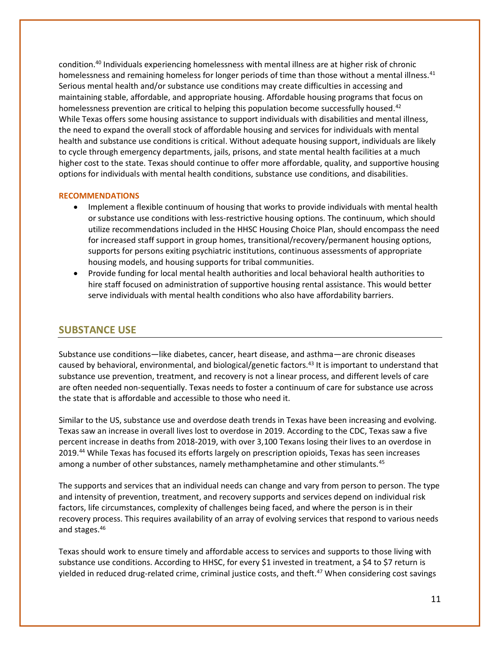condition.<sup>40</sup> Individuals experiencing homelessness with mental illness are at higher risk of chronic homelessness and remaining homeless for longer periods of time than those without a mental illness.<sup>41</sup> Serious mental health and/or substance use conditions may create difficulties in accessing and maintaining stable, affordable, and appropriate housing. Affordable housing programs that focus on homelessness prevention are critical to helping this population become successfully housed.<sup>42</sup> While Texas offers some housing assistance to support individuals with disabilities and mental illness, the need to expand the overall stock of affordable housing and services for individuals with mental health and substance use conditions is critical. Without adequate housing support, individuals are likely to cycle through emergency departments, jails, prisons, and state mental health facilities at a much higher cost to the state. Texas should continue to offer more affordable, quality, and supportive housing options for individuals with mental health conditions, substance use conditions, and disabilities.

#### **RECOMMENDATIONS**

- Implement a flexible continuum of housing that works to provide individuals with mental health or substance use conditions with less-restrictive housing options. The continuum, which should utilize recommendations included in the HHSC Housing Choice Plan, should encompass the need for increased staff support in group homes, transitional/recovery/permanent housing options, supports for persons exiting psychiatric institutions, continuous assessments of appropriate housing models, and housing supports for tribal communities.
- Provide funding for local mental health authorities and local behavioral health authorities to hire staff focused on administration of supportive housing rental assistance. This would better serve individuals with mental health conditions who also have affordability barriers.

### **SUBSTANCE USE**

Substance use conditions—like diabetes, cancer, heart disease, and asthma—are chronic diseases caused by behavioral, environmental, and biological/genetic factors.<sup>43</sup> It is important to understand that substance use prevention, treatment, and recovery is not a linear process, and different levels of care are often needed non-sequentially. Texas needs to foster a continuum of care for substance use across the state that is affordable and accessible to those who need it.

Similar to the US, substance use and overdose death trends in Texas have been increasing and evolving. Texas saw an increase in overall lives lost to overdose in 2019. According to the CDC, Texas saw a five percent increase in deaths from 2018-2019, with over 3,100 Texans losing their lives to an overdose in 2019.<sup>44</sup> While Texas has focused its efforts largely on prescription opioids, Texas has seen increases among a number of other substances, namely methamphetamine and other stimulants.<sup>45</sup>

The supports and services that an individual needs can change and vary from person to person. The type and intensity of prevention, treatment, and recovery supports and services depend on individual risk factors, life circumstances, complexity of challenges being faced, and where the person is in their recovery process. This requires availability of an array of evolving services that respond to various needs and stages.<sup>46</sup>

Texas should work to ensure timely and affordable access to services and supports to those living with substance use conditions. According to HHSC, for every \$1 invested in treatment, a \$4 to \$7 return is yielded in reduced drug-related crime, criminal justice costs, and theft.<sup>47</sup> When considering cost savings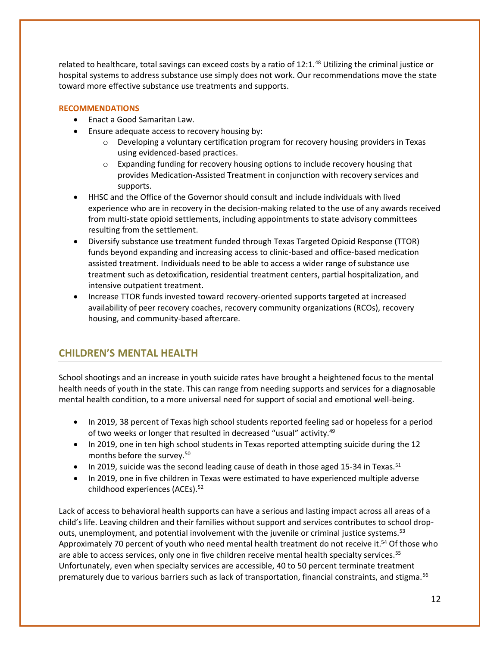related to healthcare, total savings can exceed costs by a ratio of 12:1.<sup>48</sup> Utilizing the criminal justice or hospital systems to address substance use simply does not work. Our recommendations move the state toward more effective substance use treatments and supports.

### **RECOMMENDATIONS**

- Enact a Good Samaritan Law.
- Ensure adequate access to recovery housing by:
	- o Developing a voluntary certification program for recovery housing providers in Texas using evidenced-based practices.
	- $\circ$  Expanding funding for recovery housing options to include recovery housing that provides Medication-Assisted Treatment in conjunction with recovery services and supports.
- HHSC and the Office of the Governor should consult and include individuals with lived experience who are in recovery in the decision-making related to the use of any awards received from multi-state opioid settlements, including appointments to state advisory committees resulting from the settlement.
- Diversify substance use treatment funded through Texas Targeted Opioid Response (TTOR) funds beyond expanding and increasing access to clinic-based and office-based medication assisted treatment. Individuals need to be able to access a wider range of substance use treatment such as detoxification, residential treatment centers, partial hospitalization, and intensive outpatient treatment.
- Increase TTOR funds invested toward recovery-oriented supports targeted at increased availability of peer recovery coaches, recovery community organizations (RCOs), recovery housing, and community-based aftercare.

# **CHILDREN'S MENTAL HEALTH**

School shootings and an increase in youth suicide rates have brought a heightened focus to the mental health needs of youth in the state. This can range from needing supports and services for a diagnosable mental health condition, to a more universal need for support of social and emotional well-being.

- In 2019, 38 percent of Texas high school students reported feeling sad or hopeless for a period of two weeks or longer that resulted in decreased "usual" activity.<sup>49</sup>
- In 2019, one in ten high school students in Texas reported attempting suicide during the 12 months before the survey.<sup>50</sup>
- In 2019, suicide was the second leading cause of death in those aged 15-34 in Texas.<sup>51</sup>
- In 2019, one in five children in Texas were estimated to have experienced multiple adverse childhood experiences (ACEs).<sup>52</sup>

Lack of access to behavioral health supports can have a serious and lasting impact across all areas of a child's life. Leaving children and their families without support and services contributes to school dropouts, unemployment, and potential involvement with the juvenile or criminal justice systems.<sup>53</sup> Approximately 70 percent of youth who need mental health treatment do not receive it.<sup>54</sup> Of those who are able to access services, only one in five children receive mental health specialty services.<sup>55</sup> Unfortunately, even when specialty services are accessible, 40 to 50 percent terminate treatment prematurely due to various barriers such as lack of transportation, financial constraints, and stigma.<sup>56</sup>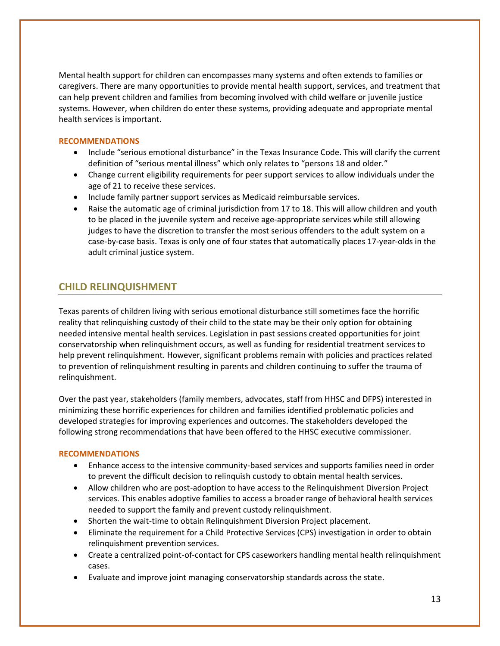Mental health support for children can encompasses many systems and often extends to families or caregivers. There are many opportunities to provide mental health support, services, and treatment that can help prevent children and families from becoming involved with child welfare or juvenile justice systems. However, when children do enter these systems, providing adequate and appropriate mental health services is important.

### **RECOMMENDATIONS**

- Include "serious emotional disturbance" in the Texas Insurance Code. This will clarify the current definition of "serious mental illness" which only relates to "persons 18 and older."
- Change current eligibility requirements for peer support services to allow individuals under the age of 21 to receive these services.
- Include family partner support services as Medicaid reimbursable services.
- Raise the automatic age of criminal jurisdiction from 17 to 18. This will allow children and youth to be placed in the juvenile system and receive age-appropriate services while still allowing judges to have the discretion to transfer the most serious offenders to the adult system on a case-by-case basis. Texas is only one of four states that automatically places 17-year-olds in the adult criminal justice system.

## **CHILD RELINQUISHMENT**

Texas parents of children living with serious emotional disturbance still sometimes face the horrific reality that relinquishing custody of their child to the state may be their only option for obtaining needed intensive mental health services. Legislation in past sessions created opportunities for joint conservatorship when relinquishment occurs, as well as funding for residential treatment services to help prevent relinquishment. However, significant problems remain with policies and practices related to prevention of relinquishment resulting in parents and children continuing to suffer the trauma of relinquishment.

Over the past year, stakeholders (family members, advocates, staff from HHSC and DFPS) interested in minimizing these horrific experiences for children and families identified problematic policies and developed strategies for improving experiences and outcomes. The stakeholders developed the following strong recommendations that have been offered to the HHSC executive commissioner.

- Enhance access to the intensive community-based services and supports families need in order to prevent the difficult decision to relinquish custody to obtain mental health services.
- Allow children who are post-adoption to have access to the Relinquishment Diversion Project services. This enables adoptive families to access a broader range of behavioral health services needed to support the family and prevent custody relinquishment.
- Shorten the wait-time to obtain Relinquishment Diversion Project placement.
- Eliminate the requirement for a Child Protective Services (CPS) investigation in order to obtain relinquishment prevention services.
- Create a centralized point-of-contact for CPS caseworkers handling mental health relinquishment cases.
- Evaluate and improve joint managing conservatorship standards across the state.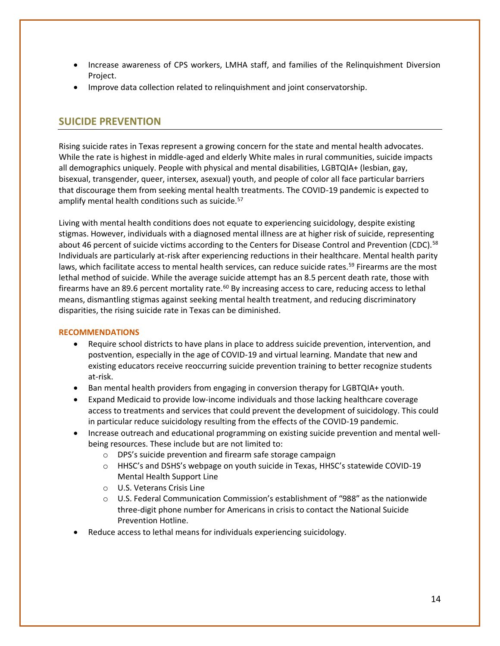- Increase awareness of CPS workers, LMHA staff, and families of the Relinquishment Diversion Project.
- Improve data collection related to relinquishment and joint conservatorship.

## **SUICIDE PREVENTION**

Rising suicide rates in Texas represent a growing concern for the state and mental health advocates. While the rate is highest in middle-aged and elderly White males in rural communities, suicide impacts all demographics uniquely. People with physical and mental disabilities, LGBTQIA+ (lesbian, gay, bisexual, transgender, queer, intersex, asexual) youth, and people of color all face particular barriers that discourage them from seeking mental health treatments. The COVID-19 pandemic is expected to amplify mental health conditions such as suicide.<sup>57</sup>

Living with mental health conditions does not equate to experiencing suicidology, despite existing stigmas. However, individuals with a diagnosed mental illness are at higher risk of suicide, representing about 46 percent of suicide victims according to the Centers for Disease Control and Prevention (CDC).<sup>58</sup> Individuals are particularly at-risk after experiencing reductions in their healthcare. Mental health parity laws, which facilitate access to mental health services, can reduce suicide rates.<sup>59</sup> Firearms are the most lethal method of suicide. While the average suicide attempt has an 8.5 percent death rate, those with firearms have an 89.6 percent mortality rate.<sup>60</sup> By increasing access to care, reducing access to lethal means, dismantling stigmas against seeking mental health treatment, and reducing discriminatory disparities, the rising suicide rate in Texas can be diminished.

- Require school districts to have plans in place to address suicide prevention, intervention, and postvention, especially in the age of COVID-19 and virtual learning. Mandate that new and existing educators receive reoccurring suicide prevention training to better recognize students at-risk.
- Ban mental health providers from engaging in conversion therapy for LGBTQIA+ youth.
- Expand Medicaid to provide low-income individuals and those lacking healthcare coverage access to treatments and services that could prevent the development of suicidology. This could in particular reduce suicidology resulting from the effects of the COVID-19 pandemic.
- Increase outreach and educational programming on existing suicide prevention and mental wellbeing resources. These include but are not limited to:
	- o DPS's suicide prevention and firearm safe storage campaign
	- o HHSC's and DSHS's webpage on youth suicide in Texas, HHSC's statewide COVID-19 Mental Health Support Line
	- o U.S. Veterans Crisis Line
	- o U.S. Federal Communication Commission's establishment of "988" as the nationwide three-digit phone number for Americans in crisis to contact the National Suicide Prevention Hotline.
- Reduce access to lethal means for individuals experiencing suicidology.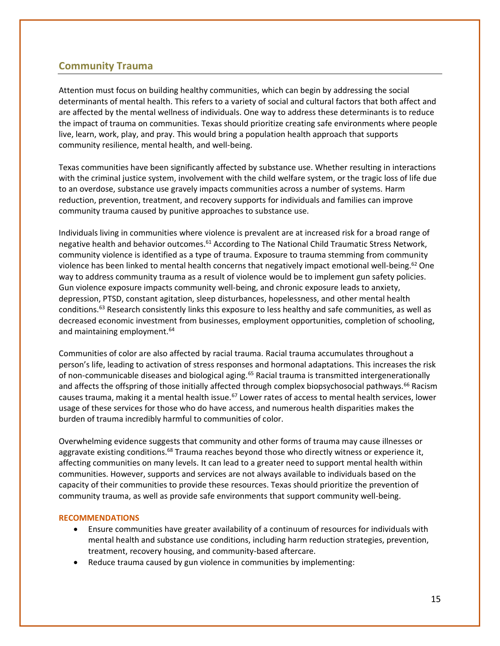## **Community Trauma**

Attention must focus on building healthy communities, which can begin by addressing the social determinants of mental health. This refers to a variety of social and cultural factors that both affect and are affected by the mental wellness of individuals. One way to address these determinants is to reduce the impact of trauma on communities. Texas should prioritize creating safe environments where people live, learn, work, play, and pray. This would bring a population health approach that supports community resilience, mental health, and well-being.

Texas communities have been significantly affected by substance use. Whether resulting in interactions with the criminal justice system, involvement with the child welfare system, or the tragic loss of life due to an overdose, substance use gravely impacts communities across a number of systems. Harm reduction, prevention, treatment, and recovery supports for individuals and families can improve community trauma caused by punitive approaches to substance use.

Individuals living in communities where violence is prevalent are at increased risk for a broad range of negative health and behavior outcomes.<sup>61</sup> According to The National Child Traumatic Stress Network, community violence is identified as a type of trauma. Exposure to trauma stemming from community violence has been linked to mental health concerns that negatively impact emotional well-being.<sup>62</sup> One way to address community trauma as a result of violence would be to implement gun safety policies. Gun violence exposure impacts community well-being, and chronic exposure leads to anxiety, depression, PTSD, constant agitation, sleep disturbances, hopelessness, and other mental health conditions.<sup>63</sup> Research consistently links this exposure to less healthy and safe communities, as well as decreased economic investment from businesses, employment opportunities, completion of schooling, and maintaining employment.<sup>64</sup>

Communities of color are also affected by racial trauma. Racial trauma accumulates throughout a person's life, leading to activation of stress responses and hormonal adaptations. This increases the risk of non-communicable diseases and biological aging.<sup>65</sup> Racial trauma is transmitted intergenerationally and affects the offspring of those initially affected through complex biopsychosocial pathways.<sup>66</sup> Racism causes trauma, making it a mental health issue.<sup>67</sup> Lower rates of access to mental health services, lower usage of these services for those who do have access, and numerous health disparities makes the burden of trauma incredibly harmful to communities of color.

Overwhelming evidence suggests that community and other forms of trauma may cause illnesses or aggravate existing conditions.<sup>68</sup> Trauma reaches beyond those who directly witness or experience it, affecting communities on many levels. It can lead to a greater need to support mental health within communities. However, supports and services are not always available to individuals based on the capacity of their communities to provide these resources. Texas should prioritize the prevention of community trauma, as well as provide safe environments that support community well-being.

- Ensure communities have greater availability of a continuum of resources for individuals with mental health and substance use conditions, including harm reduction strategies, prevention, treatment, recovery housing, and community-based aftercare.
- Reduce trauma caused by gun violence in communities by implementing: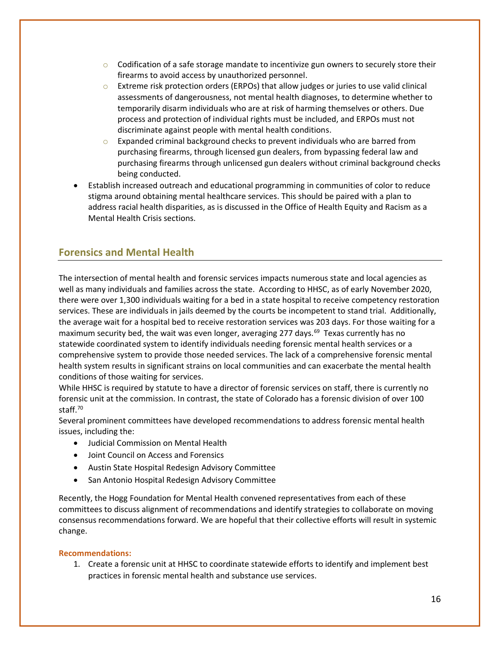- $\circ$  Codification of a safe storage mandate to incentivize gun owners to securely store their firearms to avoid access by unauthorized personnel.
- $\circ$  Extreme risk protection orders (ERPOs) that allow judges or juries to use valid clinical assessments of dangerousness, not mental health diagnoses, to determine whether to temporarily disarm individuals who are at risk of harming themselves or others. Due process and protection of individual rights must be included, and ERPOs must not discriminate against people with mental health conditions.
- $\circ$  Expanded criminal background checks to prevent individuals who are barred from purchasing firearms, through licensed gun dealers, from bypassing federal law and purchasing firearms through unlicensed gun dealers without criminal background checks being conducted.
- Establish increased outreach and educational programming in communities of color to reduce stigma around obtaining mental healthcare services. This should be paired with a plan to address racial health disparities, as is discussed in the Office of Health Equity and Racism as a Mental Health Crisis sections.

# **Forensics and Mental Health**

The intersection of mental health and forensic services impacts numerous state and local agencies as well as many individuals and families across the state. According to HHSC, as of early November 2020, there were over 1,300 individuals waiting for a bed in a state hospital to receive competency restoration services. These are individuals in jails deemed by the courts be incompetent to stand trial. Additionally, the average wait for a hospital bed to receive restoration services was 203 days. For those waiting for a maximum security bed, the wait was even longer, averaging 277 days.<sup>69</sup> Texas currently has no statewide coordinated system to identify individuals needing forensic mental health services or a comprehensive system to provide those needed services. The lack of a comprehensive forensic mental health system results in significant strains on local communities and can exacerbate the mental health conditions of those waiting for services.

While HHSC is required by statute to have a director of forensic services on staff, there is currently no forensic unit at the commission. In contrast, the state of Colorado has a forensic division of over 100 staff.<sup>70</sup>

Several prominent committees have developed recommendations to address forensic mental health issues, including the:

- Judicial Commission on Mental Health
- Joint Council on Access and Forensics
- Austin State Hospital Redesign Advisory Committee
- San Antonio Hospital Redesign Advisory Committee

Recently, the Hogg Foundation for Mental Health convened representatives from each of these committees to discuss alignment of recommendations and identify strategies to collaborate on moving consensus recommendations forward. We are hopeful that their collective efforts will result in systemic change.

#### **Recommendations:**

1. Create a forensic unit at HHSC to coordinate statewide efforts to identify and implement best practices in forensic mental health and substance use services.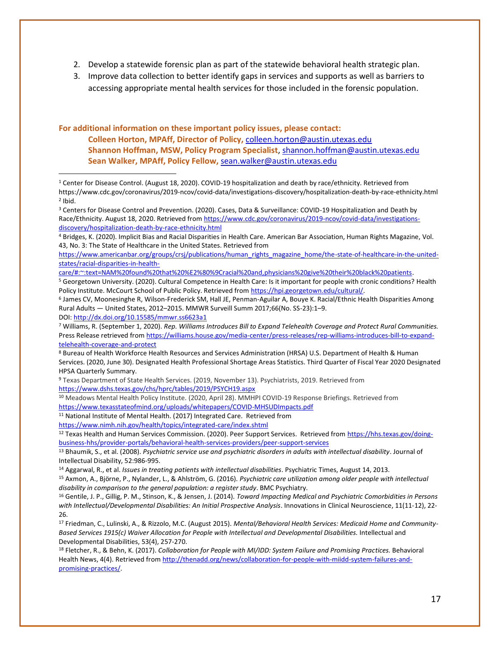- 2. Develop a statewide forensic plan as part of the statewide behavioral health strategic plan.
- 3. Improve data collection to better identify gaps in services and supports as well as barriers to accessing appropriate mental health services for those included in the forensic population.

**For additional information on these important policy issues, please contact: Colleen Horton, MPAff, Director of Policy,** [colleen.horton@austin.utexas.edu](mailto:colleen.horton@austin.utexas.edu) **Shannon Hoffman, MSW, Policy Program Specialist**[, shannon.hoffman@austin.utexas.edu](mailto:shannon.hoffman@austin.utexas.edu) **Sean Walker, MPAff, Policy Fellow,** [sean.walker@austin.utexas.edu](mailto:sean.walker@austin.utexas.edu)

[care/#:~:text=NAM%20found%20that%20%E2%80%9Cracial%20and,physicians%20give%20their%20black%20patients.](https://www.americanbar.org/groups/crsj/publications/human_rights_magazine_home/the-state-of-healthcare-in-the-united-states/racial-disparities-in-health-care/#:~:text=NAM%20found%20that%20%E2%80%9Cracial%20and,physicians%20give%20their%20black%20patients)

<sup>5</sup> Georgetown University. (2020). Cultural Competence in Health Care: Is it important for people with cronic conditions? Health Policy Institute. McCourt School of Public Policy. Retrieved fro[m https://hpi.georgetown.edu/cultural/.](https://hpi.georgetown.edu/cultural/)

6 James CV, Moonesinghe R, Wilson-Frederick SM, Hall JE, Penman-Aguilar A, Bouye K. Racial/Ethnic Health Disparities Among Rural Adults — United States, 2012–2015. MMWR Surveill Summ 2017;66(No. SS-23):1–9. DOI: <http://dx.doi.org/10.15585/mmwr.ss6623a1>

<sup>7</sup> Williams, R. (September 1, 2020). *Rep. Williams Introduces Bill to Expand Telehealth Coverage and Protect Rural Communities.*  Press Release retrieved fro[m https://williams.house.gov/media-center/press-releases/rep-williams-introduces-bill-to-expand](https://williams.house.gov/media-center/press-releases/rep-williams-introduces-bill-to-expand-telehealth-coverage-and-protect)[telehealth-coverage-and-protect](https://williams.house.gov/media-center/press-releases/rep-williams-introduces-bill-to-expand-telehealth-coverage-and-protect) 

<sup>8</sup> Bureau of Health Workforce Health Resources and Services Administration (HRSA) U.S. Department of Health & Human Services. (2020, June 30). Designated Health Professional Shortage Areas Statistics. Third Quarter of Fiscal Year 2020 Designated HPSA Quarterly Summary.

<sup>9</sup> Texas Department of State Health Services. (2019, November 13). Psychiatrists, 2019. Retrieved from <https://www.dshs.texas.gov/chs/hprc/tables/2019/PSYCH19.aspx>

<sup>10</sup> Meadows Mental Health Policy Institute. (2020, April 28). MMHPI COVID-19 Response Briefings. Retrieved from <https://www.texasstateofmind.org/uploads/whitepapers/COVID-MHSUDImpacts.pdf>

<sup>11</sup> National Institute of Mental Health. (2017) Integrated Care. Retrieved from

<https://www.nimh.nih.gov/health/topics/integrated-care/index.shtml>

12 Texas Health and Human Services Commission. (2020). Peer Support Services. Retrieved fro[m https://hhs.texas.gov/doing](https://hhs.texas.gov/doing-business-hhs/provider-portals/behavioral-health-services-providers/peer-support-services)[business-hhs/provider-portals/behavioral-health-services-providers/peer-support-services](https://hhs.texas.gov/doing-business-hhs/provider-portals/behavioral-health-services-providers/peer-support-services)

<sup>13</sup> Bhaumik, S., et al. (2008). *Psychiatric service use and psychiatric disorders in adults with intellectual disability*. Journal of Intellectual Disability, 52:986-995.

<sup>14</sup> Aggarwal, R., et al. *Issues in treating patients with intellectual disabilities*. Psychiatric Times, August 14, 2013.

<sup>15</sup> Axmon, A., Björne, P., Nylander, L., & Ahlström, G. (2016). *Psychiatric care utilization among older people with intellectual disability in comparison to the general population: a register study*. BMC Psychiatry.

<sup>16</sup> Gentile, J. P., Gillig, P. M., Stinson, K., & Jensen, J. (2014). *Toward Impacting Medical and Psychiatric Comorbidities in Persons with Intellectual/Developmental Disabilities: An Initial Prospective Analysis*. Innovations in Clinical Neuroscience, 11(11-12), 22- 26.

<sup>17</sup> Friedman, C., Lulinski, A., & Rizzolo, M.C. (August 2015). *Mental/Behavioral Health Services: Medicaid Home and Community-Based Services 1915(c) Waiver Allocation for People with Intellectual and Developmental Disabilities.* Intellectual and Developmental Disabilities, 53(4), 257-270.

<sup>18</sup> Fletcher, R., & Behn, K. (2017). *Collaboration for People with MI/IDD: System Failure and Promising Practices.* Behavioral Health News, 4(4). Retrieved from [http://thenadd.org/news/collaboration-for-people-with-miidd-system-failures-and](http://thenadd.org/news/collaboration-for-people-with-miidd-system-failures-and-promising-practices/)[promising-practices/.](http://thenadd.org/news/collaboration-for-people-with-miidd-system-failures-and-promising-practices/) 

<sup>1</sup> Center for Disease Control. (August 18, 2020). COVID-19 hospitalization and death by race/ethnicity. Retrieved from https://www.cdc.gov/coronavirus/2019-ncov/covid-data/investigations-discovery/hospitalization-death-by-race-ethnicity.html 2 Ibid.

<sup>3</sup> Centers for Disease Control and Prevention. (2020). Cases, Data & Surveillance: COVID-19 Hospitalization and Death by Race/Ethnicity. August 18, 2020. Retrieved from [https://www.cdc.gov/coronavirus/2019-ncov/covid-data/investigations](https://www.cdc.gov/coronavirus/2019-ncov/covid-data/investigations-discovery/hospitalization-death-by-race-ethnicity.html)[discovery/hospitalization-death-by-race-ethnicity.html](https://www.cdc.gov/coronavirus/2019-ncov/covid-data/investigations-discovery/hospitalization-death-by-race-ethnicity.html)

<sup>4</sup> Bridges, K. (2020). Implicit Bias and Racial Disparities in Health Care. American Bar Association, Human Rights Magazine, Vol. 43, No. 3: The State of Healthcare in the United States. Retrieved from

[https://www.americanbar.org/groups/crsj/publications/human\\_rights\\_magazine\\_home/the-state-of-healthcare-in-the-united](https://www.americanbar.org/groups/crsj/publications/human_rights_magazine_home/the-state-of-healthcare-in-the-united-states/racial-disparities-in-health-care/#:~:text=NAM%20found%20that%20%E2%80%9Cracial%20and,physicians%20give%20their%20black%20patients)[states/racial-disparities-in-health-](https://www.americanbar.org/groups/crsj/publications/human_rights_magazine_home/the-state-of-healthcare-in-the-united-states/racial-disparities-in-health-care/#:~:text=NAM%20found%20that%20%E2%80%9Cracial%20and,physicians%20give%20their%20black%20patients)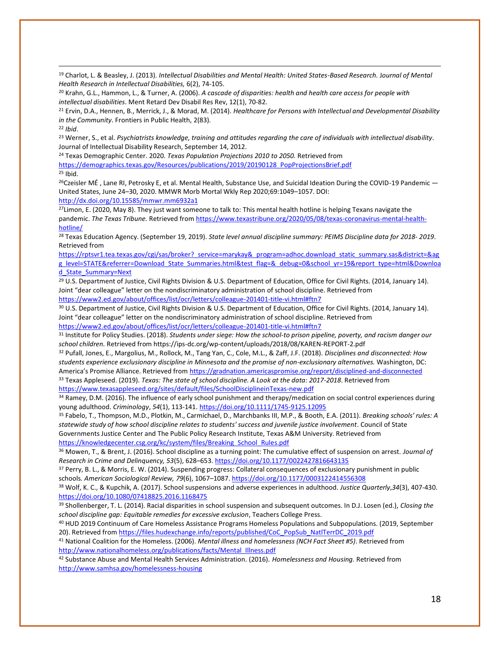<sup>19</sup> Charlot, L. & Beasley, J. (2013). *Intellectual Disabilities and Mental Health: United States-Based Research.* J*ournal of Mental Health Research in Intellectual Disabilities,* 6(2), 74-105.

<sup>20</sup> Krahn, G.L., Hammon, L., & Turner, A. (2006). *A cascade of disparities: health and health care access for people with intellectual disabilities*. Ment Retard Dev Disabil Res Rev, 12(1), 70-82.

<sup>21</sup> Ervin, D.A., Hennen, B., Merrick, J., & Morad, M. (2014). *Healthcare for Persons with Intellectual and Developmental Disability in the Community*. Frontiers in Public Health, 2(83).

<sup>22</sup> *Ibid*.

<sup>23</sup> Werner, S., et al. *Psychiatrists knowledge, training and attitudes regarding the care of individuals with intellectual disability*. Journal of Intellectual Disability Research, September 14, 2012.

<sup>24</sup> Texas Demographic Center. 2020. *Texas Population Projections 2010 to 2050.* Retrieved from [https://demographics.texas.gov/Resources/publications/2019/20190128\\_PopProjectionsBrief.pdf](https://demographics.texas.gov/Resources/publications/2019/20190128_PopProjectionsBrief.pdf) <sup>25</sup> Ibid.

 $^{26}$ Czeisler MÉ, Lane RI, Petrosky E, et al. Mental Health, Substance Use, and Suicidal Ideation During the COVID-19 Pandemic  $-$ United States, June 24–30, 2020. MMWR Morb Mortal Wkly Rep 2020;69:1049–1057. DOI: <http://dx.doi.org/10.15585/mmwr.mm6932a1>

 $27$ Limon, E. (2020, May 8). They just want someone to talk to: This mental health hotline is helping Texans navigate the pandemic. *The Texas Tribune.* Retrieved fro[m https://www.texastribune.org/2020/05/08/texas-coronavirus-mental-health](https://www.texastribune.org/2020/05/08/texas-coronavirus-mental-health-hotline/)[hotline/](https://www.texastribune.org/2020/05/08/texas-coronavirus-mental-health-hotline/)

<sup>28</sup> Texas Education Agency. (September 19, 2019). *State level annual discipline summary: PEIMS Discipline data for 2018- 2019*. Retrieved from

[https://rptsvr1.tea.texas.gov/cgi/sas/broker?\\_service=marykay&\\_program=adhoc.download\\_static\\_summary.sas&district=&ag](https://rptsvr1.tea.texas.gov/cgi/sas/broker?_service=marykay&_program=adhoc.download_static_summary.sas&district=&agg_level=STATE&referrer=Download_State_Summaries.html&test_flag=&_debug=0&school_yr=19&report_type=html&Download_State_Summary=Next) [g\\_level=STATE&referrer=Download\\_State\\_Summaries.html&test\\_flag=&\\_debug=0&school\\_yr=19&report\\_type=html&Downloa](https://rptsvr1.tea.texas.gov/cgi/sas/broker?_service=marykay&_program=adhoc.download_static_summary.sas&district=&agg_level=STATE&referrer=Download_State_Summaries.html&test_flag=&_debug=0&school_yr=19&report_type=html&Download_State_Summary=Next) [d\\_State\\_Summary=Next](https://rptsvr1.tea.texas.gov/cgi/sas/broker?_service=marykay&_program=adhoc.download_static_summary.sas&district=&agg_level=STATE&referrer=Download_State_Summaries.html&test_flag=&_debug=0&school_yr=19&report_type=html&Download_State_Summary=Next)

<sup>29</sup> U.S. Department of Justice, Civil Rights Division & U.S. Department of Education, Office for Civil Rights. (2014, January 14). Joint "dear colleague" letter on the nondiscriminatory administration of school discipline. Retrieved from <https://www2.ed.gov/about/offices/list/ocr/letters/colleague-201401-title-vi.html#ftn7>

<sup>30</sup> U.S. Department of Justice, Civil Rights Division & U.S. Department of Education, Office for Civil Rights. (2014, January 14). Joint "dear colleague" letter on the nondiscriminatory administration of school discipline. Retrieved from <https://www2.ed.gov/about/offices/list/ocr/letters/colleague-201401-title-vi.html#ftn7>

<sup>31</sup> Institute for Policy Studies. (2018). *Students under siege: How the school-to prison pipeline, poverty, and racism danger our school children.* Retrieved from https://ips-dc.org/wp-content/uploads/2018/08/KAREN-REPORT-2.pdf

<sup>32</sup> Pufall, Jones, E., Margolius, M., Rollock, M., Tang Yan, C., Cole, M.L., & Zaff, J.F. (2018). *Disciplines and disconnected: How students experience exclusionary discipline in Minnesota and the promise of non-exclusionary alternatives.* Washington, DC: America's Promise Alliance. Retrieved from <https://gradnation.americaspromise.org/report/disciplined-and-disconnected> <sup>33</sup> Texas Appleseed. (2019). *Texas: The state of school discipline. A Look at the data: 2017-2018*. Retrieved from

<https://www.texasappleseed.org/sites/default/files/SchoolDisciplineinTexas-new.pdf>

34 Ramey, D.M. (2016). The influence of early school punishment and therapy/medication on social control experiences during young adulthood. *Criminology*, *54*(1), 113-141[. https://doi.org/10.1111/1745-9125.12095](https://doi.org/10.1111/1745-9125.12095)

<sup>35</sup> Fabelo, T., Thompson, M.D., Plotkin, M., Carmichael, D., Marchbanks III, M.P., & Booth, E.A. (2011). *Breaking schools' rules: A statewide study of how school discipline relates to students' success and juvenile justice involvement*. Council of State Governments Justice Center and The Public Policy Research Institute, Texas A&M University. Retrieved from [https://knowledgecenter.csg.org/kc/system/files/Breaking\\_School\\_Rules.pdf](https://knowledgecenter.csg.org/kc/system/files/Breaking_School_Rules.pdf)

<sup>36</sup> Mowen, T., & Brent, J. (2016). School discipline as a turning point: The cumulative effect of suspension on arrest. *Journal of Research in Crime and Delinquency, 53*(5), 628–653[. https://doi.org/10.1177/0022427816643135](https://doi.org/10.1177/0022427816643135)

<sup>37</sup> Perry, B. L., & Morris, E. W. (2014). Suspending progress: Collateral consequences of exclusionary punishment in public schools*. American Sociological Review, 79*(6), 1067–1087[. https://doi.org/10.1177/0003122414556308](https://doi.org/10.1177/0003122414556308)

<sup>38</sup> Wolf, K. C., & Kupchik, A. (2017). School suspensions and adverse experiences in adulthood. *Justice Quarterly*,*34*(3), 407-430. <https://doi.org/10.1080/07418825.2016.1168475>

<sup>39</sup> Shollenberger, T. L. (2014). Racial disparities in school suspension and subsequent outcomes. In D.J. Losen (ed.), *Closing the school discipline gap: Equitable remedies for excessive exclusion*, Teachers College Press.

<sup>40</sup> HUD 2019 Continuum of Care Homeless Assistance Programs Homeless Populations and Subpopulations. (2019, September 20). Retrieved fro[m https://files.hudexchange.info/reports/published/CoC\\_PopSub\\_NatlTerrDC\\_2019.pdf](https://files.hudexchange.info/reports/published/CoC_PopSub_NatlTerrDC_2019.pdf)

<sup>41</sup> National Coalition for the Homeless. (2006). *Mental illness and homelessness (NCH Fact Sheet #5)*. Retrieved from [http://www.nationalhomeless.org/publications/facts/Mental\\_Illness.pdf](http://www.nationalhomeless.org/publications/facts/Mental_Illness.pdf)

<sup>42</sup> Substance Abuse and Mental Health Services Administration. (2016). *Homelessness and Housing.* Retrieved from <http://www.samhsa.gov/homelessness-housing>